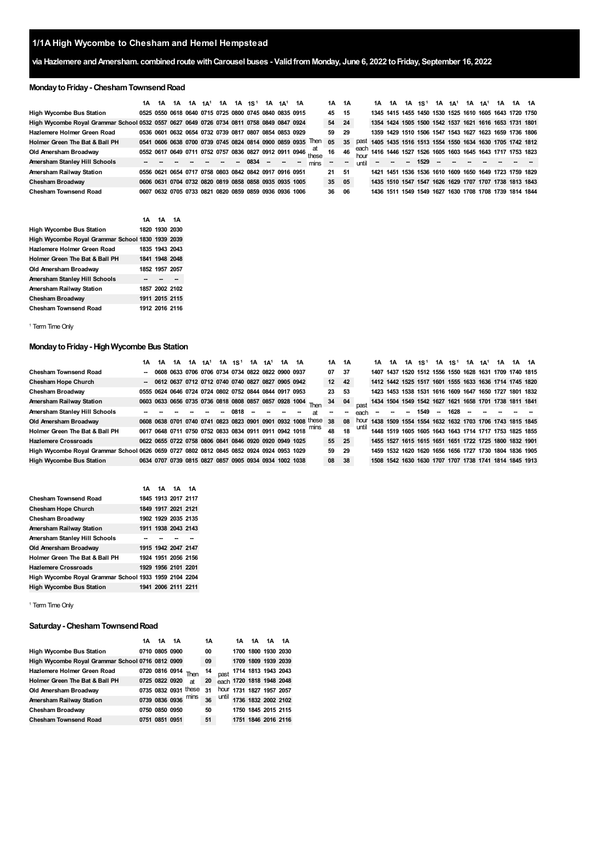# **via Hazlemere andAmersham. combinedroutewithCarousel buses - ValidfromMonday, June 6, 2022 toFriday, September 16, 2022**

# **Monday to Friday - Chesham Townsend Road**

|                                                                                          | 1А | 1A | 1Α |                                                        | $1A$ $1A$ <sup>1</sup> | 1A | 1A 1S <sup>1</sup> | 1A | 1Δ1 | 1A |                                                              | 1A | 1A  |       | 1A                                                     | 1A     | 1A 1S <sup>1</sup> |      |    | 1A 1A <sup>1</sup> | $1A$ $1A1$ | 1A | 1A 1A                         |  |
|------------------------------------------------------------------------------------------|----|----|----|--------------------------------------------------------|------------------------|----|--------------------|----|-----|----|--------------------------------------------------------------|----|-----|-------|--------------------------------------------------------|--------|--------------------|------|----|--------------------|------------|----|-------------------------------|--|
| <b>High Wycombe Bus Station</b>                                                          |    |    |    | 0525 0550 0618 0640 0715 0725 0800 0745 0840 0835 0915 |                        |    |                    |    |     |    |                                                              | 45 | 15  |       | 1345 1415 1455 1450 1530 1525 1610 1605 1643 1720 1750 |        |                    |      |    |                    |            |    |                               |  |
| High Wycombe Royal Grammar School 0532 0557 0627 0649 0726 0734 0811 0758 0849 0847 0924 |    |    |    |                                                        |                        |    |                    |    |     |    |                                                              | 54 | -24 |       | 1354 1424 1505 1500 1542 1537 1621 1616 1653 1731 1801 |        |                    |      |    |                    |            |    |                               |  |
| Hazlemere Holmer Green Road                                                              |    |    |    | 0536 0601 0632 0654 0732 0739 0817 0807 0854 0853 0929 |                        |    |                    |    |     |    |                                                              | 59 | 29  |       | 1359 1429 1510 1506 1547 1543 1627 1623 1659 1736 1806 |        |                    |      |    |                    |            |    |                               |  |
| Holmer Green The Bat & Ball PH                                                           |    |    |    | 0541 0606 0638 0700 0739 0745 0824 0814 0900 0859 0935 |                        |    |                    |    |     |    | Then                                                         | 05 | 35  | past  | 1405 1435 1516 1513 1554 1550 1634 1630 1705 1742 1812 |        |                    |      |    |                    |            |    |                               |  |
| Old Amersham Broadway                                                                    |    |    |    |                                                        |                        |    |                    |    |     |    | 0552 0617 0649 0711 0752 0757 0836 0827 0912 0911 0946 these | 16 | 46  | each  | 1416 1446 1527 1526 1605 1603 1645 1643 1717 1753 1823 |        |                    |      |    |                    |            |    |                               |  |
| Amersham Stanley Hill Schools                                                            |    |    |    |                                                        |                        |    | 0834               |    |     |    | mins                                                         |    | -   | until | $\sim$                                                 | $\sim$ | $\sim$             | 1529 | -- |                    |            |    |                               |  |
| Amersham Railway Station                                                                 |    |    |    | 0556 0621 0654 0717 0758 0803 0842 0842 0917 0916 0951 |                        |    |                    |    |     |    |                                                              | 21 | -51 |       | 1421 1451 1536 1536 1610 1609 1650 1649 1723 1759 1829 |        |                    |      |    |                    |            |    |                               |  |
| Chesham Broadway                                                                         |    |    |    | 0606 0631 0704 0732 0820 0819 0858 0858 0935 0935 1005 |                        |    |                    |    |     |    |                                                              | 35 | 05  |       | 1435 1510 1547 1547 1626 1629 1707 1707 1738 1813 1843 |        |                    |      |    |                    |            |    |                               |  |
| <b>Chesham Townsend Road</b>                                                             |    |    |    | 0607 0632 0705 0733 0821 0820 0859 0859 0936 0936 1006 |                        |    |                    |    |     |    |                                                              | 36 | 06  |       | 1436 1511 1549 1549 1627                               |        |                    |      |    |                    |            |    | 1630 1708 1708 1739 1814 1844 |  |

|                                                  | 1A 1A 1A       |  |
|--------------------------------------------------|----------------|--|
| <b>High Wycombe Bus Station</b>                  | 1820 1930 2030 |  |
| High Wycombe Royal Grammar School 1830 1939 2039 |                |  |
| Hazlemere Holmer Green Road                      | 1835 1943 2043 |  |
| Holmer Green The Bat & Ball PH                   | 1841 1948 2048 |  |
| Old Amersham Broadway                            | 1852 1957 2057 |  |
| Amersham Stanley Hill Schools                    |                |  |
| Amersham Railway Station                         | 1857 2002 2102 |  |
| Chesham Broadway                                 | 1911 2015 2115 |  |
| <b>Chesham Townsend Road</b>                     | 1912 2016 2116 |  |

<span id="page-0-0"></span><sup>1</sup> Term Time Only

### **MondaytoFriday- HighWycombe Bus Station**

|                                                                                          | 1Α | 1Α                                                     | 1A | 1A $1A^1$ |                          | $1A \t1S^1$ | $1A$ $1A1$ | 1A | 1A |                                                              | 1А | 1A  |      | 1A | 1A |    | $1A \quad 1S^1$ | 1A 1S <sup>1</sup> |      |        | $1A$ $1A$ <sup>1</sup> | 1A | 1A 1A                                                  |                                                        |
|------------------------------------------------------------------------------------------|----|--------------------------------------------------------|----|-----------|--------------------------|-------------|------------|----|----|--------------------------------------------------------------|----|-----|------|----|----|----|-----------------|--------------------|------|--------|------------------------|----|--------------------------------------------------------|--------------------------------------------------------|
| <b>Chesham Townsend Road</b>                                                             |    | -- 0608 0633 0706 0706 0734 0734 0822 0822 0900 0937   |    |           |                          |             |            |    |    |                                                              | 07 | -37 |      |    |    |    |                 |                    |      |        |                        |    | 1407 1437 1520 1512 1556 1550 1628 1631 1709 1740 1815 |                                                        |
| <b>Chesham Hope Church</b>                                                               |    | -- 0612 0637 0712 0712 0740 0740 0827 0827 0905 0942   |    |           |                          |             |            |    |    |                                                              | 12 | 42  |      |    |    |    |                 |                    |      |        |                        |    | 1412 1442 1525 1517 1601 1555 1633 1636 1714 1745 1820 |                                                        |
| Chesham Broadway                                                                         |    | 0555 0624 0646 0724 0724 0802 0752 0844 0844 0917 0953 |    |           |                          |             |            |    |    |                                                              | 23 | 53  |      |    |    |    |                 |                    |      |        |                        |    | 1423 1453 1538 1531 1616 1609 1647 1650 1727 1801 1832 |                                                        |
| Amersham Railway Station                                                                 |    |                                                        |    |           |                          |             |            |    |    | 0603 0633 0656 0735 0736 0818 0808 0857 0857 0928 1004 Then  | 34 | 04  |      |    |    |    |                 |                    |      |        |                        |    |                                                        | 1434 1504 1549 1542 1627 1621 1658 1701 1738 1811 1841 |
| Amersham Stanley Hill Schools                                                            |    |                                                        |    |           | $\overline{\phantom{a}}$ | 0818        |            |    |    |                                                              |    | --  | each |    |    | -- | 1549            | $\sim$             | 1628 | $\sim$ |                        |    |                                                        |                                                        |
| Old Amersham Broadway                                                                    |    |                                                        |    |           |                          |             |            |    |    | 0608 0638 0701 0740 0741 0823 0823 0901 0901 0932 1008 these | 38 | -08 | hour |    |    |    |                 |                    |      |        |                        |    | 1438 1509 1554 1554 1632 1632 1703 1706 1743 1815 1845 |                                                        |
| Holmer Green The Bat & Ball PH                                                           |    |                                                        |    |           |                          |             |            |    |    | 0617 0648 0711 0750 0752 0833 0834 0911 0911 0942 1018 mins  | 48 | 18  |      |    |    |    |                 |                    |      |        |                        |    | 1448 1519 1605 1605 1643 1643 1714 1717 1753 1825 1855 |                                                        |
| <b>Hazlemere Crossroads</b>                                                              |    | 0622 0655 0722 0758 0806 0841 0846 0920 0920 0949 1025 |    |           |                          |             |            |    |    |                                                              | 55 | 25  |      |    |    |    |                 |                    |      |        |                        |    | 1455 1527 1615 1615 1651 1651 1722 1725 1800 1832 1901 |                                                        |
| High Wycombe Royal Grammar School 0626 0659 0727 0802 0812 0845 0852 0924 0924 0953 1029 |    |                                                        |    |           |                          |             |            |    |    |                                                              | 59 | 29  |      |    |    |    |                 |                    |      |        |                        |    | 1459 1532 1620 1620 1656 1656 1727 1730 1804 1836 1905 |                                                        |
| <b>High Wycombe Bus Station</b>                                                          |    | 0634 0707 0739 0815 0827 0857 0905 0934 0934 1002 1038 |    |           |                          |             |            |    |    |                                                              | 08 | 38  |      |    |    |    |                 |                    |      |        |                        |    | 1508 1542 1630 1630 1707 1707 1738 1741 1814 1845 1913 |                                                        |

|                                                       |  | 1A 1A 1A 1A         |  |
|-------------------------------------------------------|--|---------------------|--|
| <b>Chesham Townsend Road</b>                          |  | 1845 1913 2017 2117 |  |
| <b>Chesham Hope Church</b>                            |  | 1849 1917 2021 2121 |  |
| Chesham Broadway                                      |  | 1902 1929 2035 2135 |  |
| Amersham Railway Station                              |  | 1911 1938 2043 2143 |  |
| Amersham Stanley Hill Schools                         |  |                     |  |
| Old Amersham Broadway                                 |  | 1915 1942 2047 2147 |  |
| Holmer Green The Bat & Ball PH                        |  | 1924 1951 2056 2156 |  |
| <b>Hazlemere Crossroads</b>                           |  | 1929 1956 2101 2201 |  |
| High Wycombe Royal Grammar School 1933 1959 2104 2204 |  |                     |  |
| <b>High Wycombe Bus Station</b>                       |  | 1941 2006 2111 2211 |  |

<sup>1</sup> Term Time Only

#### **Saturday- CheshamTownsendRoad**

|                                                  | 1Α | 1Α             | 1A             |                      | 1Α |       | 1Α | 1Α | 1Α                       | 1A                  |
|--------------------------------------------------|----|----------------|----------------|----------------------|----|-------|----|----|--------------------------|---------------------|
| <b>High Wycombe Bus Station</b>                  |    | 0710 0805 0900 |                |                      | 00 |       |    |    | 1700 1800 1930 2030      |                     |
| High Wycombe Royal Grammar School 0716 0812 0909 |    |                |                |                      | 09 |       |    |    | 1709 1809 1939 2039      |                     |
| Hazlemere Holmer Green Road                      |    | 0720 0816 0914 |                | Then                 | 14 | past  |    |    | 1714 1813 1943 2043      |                     |
| Holmer Green The Bat & Ball PH                   |    | 0725 0822 0920 |                | at                   | 20 |       |    |    | each 1720 1818 1948 2048 |                     |
| Old Amersham Broadway                            |    |                |                | 0735 0832 0931 these | 31 | hour  |    |    | 1731 1827 1957 2057      |                     |
| Amersham Railway Station                         |    | 0739 0836 0936 |                | mins                 | 36 | until |    |    |                          | 1736 1832 2002 2102 |
| <b>Chesham Broadway</b>                          |    |                | 0750 0850 0950 |                      | 50 |       |    |    | 1750 1845 2015 2115      |                     |
| <b>Chesham Townsend Road</b>                     |    | 0751 0851 0951 |                |                      | 51 |       |    |    | 1751 1846 2016 2116      |                     |